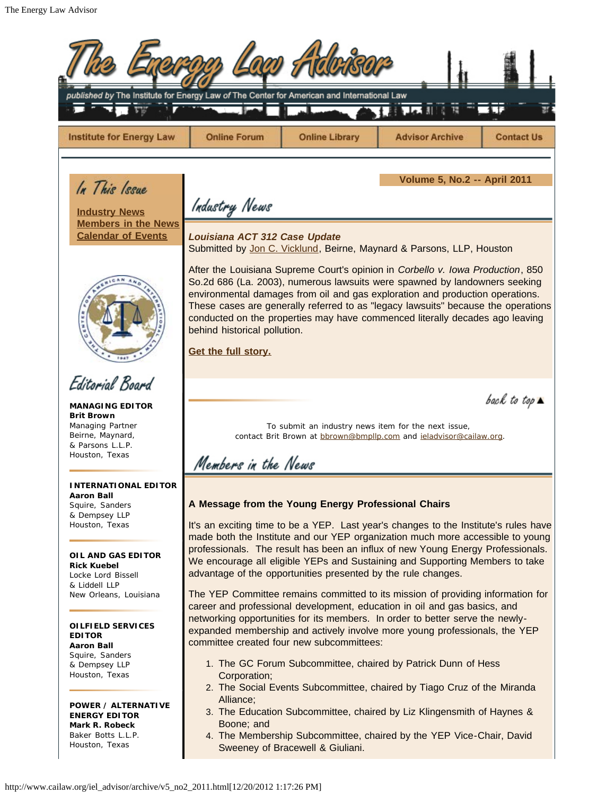É

| published by The Institute for Energy Law of The Center for American and International Law                                                                                                                             |                                                                                                                                                                                                                                                                                                                                                                                                                                                                                                                                                                                                                                              |                                  |                                                                                                                                                                                                                                                                                                                                                                                                                                                           |                              |
|------------------------------------------------------------------------------------------------------------------------------------------------------------------------------------------------------------------------|----------------------------------------------------------------------------------------------------------------------------------------------------------------------------------------------------------------------------------------------------------------------------------------------------------------------------------------------------------------------------------------------------------------------------------------------------------------------------------------------------------------------------------------------------------------------------------------------------------------------------------------------|----------------------------------|-----------------------------------------------------------------------------------------------------------------------------------------------------------------------------------------------------------------------------------------------------------------------------------------------------------------------------------------------------------------------------------------------------------------------------------------------------------|------------------------------|
| <b>Institute for Energy Law</b>                                                                                                                                                                                        | <b>Online Forum</b>                                                                                                                                                                                                                                                                                                                                                                                                                                                                                                                                                                                                                          | <b>Online Library</b>            | <b>Advisor Archive</b>                                                                                                                                                                                                                                                                                                                                                                                                                                    | <b>Contact Us</b>            |
| In This Issue<br><b>Industry News</b><br><b>Members in the News</b><br><b>Calendar of Events</b>                                                                                                                       | <b>Volume 5, No.2 -- April 2011</b><br>Industry News<br>Louisiana ACT 312 Case Update<br>Submitted by Jon C. Vicklund, Beirne, Maynard & Parsons, LLP, Houston<br>After the Louisiana Supreme Court's opinion in Corbello v. Iowa Production, 850<br>So.2d 686 (La. 2003), numerous lawsuits were spawned by landowners seeking<br>environmental damages from oil and gas exploration and production operations.<br>These cases are generally referred to as "legacy lawsuits" because the operations<br>conducted on the properties may have commenced literally decades ago leaving<br>behind historical pollution.<br>Get the full story. |                                  |                                                                                                                                                                                                                                                                                                                                                                                                                                                           |                              |
|                                                                                                                                                                                                                        |                                                                                                                                                                                                                                                                                                                                                                                                                                                                                                                                                                                                                                              |                                  |                                                                                                                                                                                                                                                                                                                                                                                                                                                           |                              |
| Editorial Board<br><b>MANAGING EDITOR</b><br><b>Brit Brown</b><br>Managing Partner<br>Beirne, Maynard,<br>& Parsons L.L.P.<br>Houston, Texas                                                                           | Members in the News                                                                                                                                                                                                                                                                                                                                                                                                                                                                                                                                                                                                                          |                                  | To submit an industry news item for the next issue,<br>contact Brit Brown at bbrown@bmpllp.com and jeladvisor@cailaw.org.                                                                                                                                                                                                                                                                                                                                 | back to top $\blacktriangle$ |
| I NTERNATIONAL EDITOR<br>Aaron Ball<br>Squire, Sanders<br>& Dempsey LLP<br>Houston, Texas<br>OIL AND GAS EDITOR<br><b>Rick Kuebel</b><br>Locke Lord Bissell<br>& Liddell LLP<br>New Orleans, Louisiana                 | A Message from the Young Energy Professional Chairs<br>It's an exciting time to be a YEP. Last year's changes to the Institute's rules have<br>made both the Institute and our YEP organization much more accessible to young<br>professionals. The result has been an influx of new Young Energy Professionals.<br>We encourage all eligible YEPs and Sustaining and Supporting Members to take<br>advantage of the opportunities presented by the rule changes.<br>The YEP Committee remains committed to its mission of providing information for<br>career and professional development, education in oil and gas basics, and            |                                  |                                                                                                                                                                                                                                                                                                                                                                                                                                                           |                              |
| OILFIELD SERVICES<br><b>EDITOR</b><br>Aaron Ball<br>Squire, Sanders<br>& Dempsey LLP<br>Houston, Texas<br><b>POWER / ALTERNATIVE</b><br><b>ENERGY EDITOR</b><br>Mark R. Robeck<br>Baker Botts L.L.P.<br>Houston, Texas | committee created four new subcommittees:<br>Corporation;<br>Alliance;<br>Boone; and                                                                                                                                                                                                                                                                                                                                                                                                                                                                                                                                                         | Sweeney of Bracewell & Giuliani. | networking opportunities for its members. In order to better serve the newly-<br>expanded membership and actively involve more young professionals, the YEP<br>1. The GC Forum Subcommittee, chaired by Patrick Dunn of Hess<br>2. The Social Events Subcommittee, chaired by Tiago Cruz of the Miranda<br>3. The Education Subcommittee, chaired by Liz Klingensmith of Haynes &<br>4. The Membership Subcommittee, chaired by the YEP Vice-Chair, David |                              |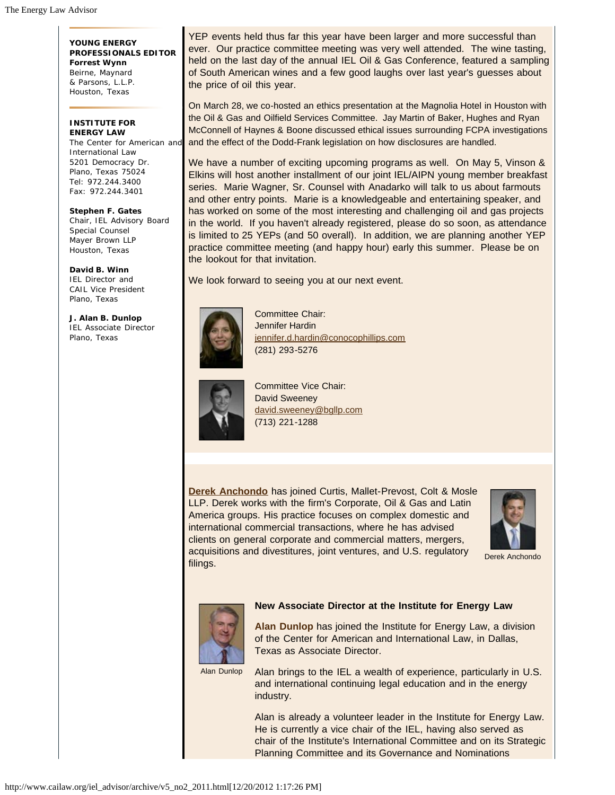**YOUNG ENERGY PROFESSIONALS EDITOR Forrest Wynn** Beirne, Maynard & Parsons, L.L.P. Houston, Texas

## **INSTITUTE FOR ENERGY LAW**

The Center for American and International Law 5201 Democracy Dr. Plano, Texas 75024 Tel: 972.244.3400 Fax: 972.244.3401

**Stephen F. Gates** Chair, IEL Advisory Board Special Counsel Mayer Brown LLP Houston, Texas

**David B. Winn** IEL Director and CAIL Vice President Plano, Texas

**J. Alan B. Dunlop** IEL Associate Director Plano, Texas

YEP events held thus far this year have been larger and more successful than ever. Our practice committee meeting was very well attended. The wine tasting, held on the last day of the annual IEL Oil & Gas Conference, featured a sampling of South American wines and a few good laughs over last year's guesses about the price of oil this year.

On March 28, we co-hosted an ethics presentation at the Magnolia Hotel in Houston with the Oil & Gas and Oilfield Services Committee. Jay Martin of Baker, Hughes and Ryan McConnell of Haynes & Boone discussed ethical issues surrounding FCPA investigations and the effect of the Dodd-Frank legislation on how disclosures are handled.

We have a number of exciting upcoming programs as well. On May 5, Vinson & Elkins will host another installment of our joint IEL/AIPN young member breakfast series. Marie Wagner, Sr. Counsel with Anadarko will talk to us about farmouts and other entry points. Marie is a knowledgeable and entertaining speaker, and has worked on some of the most interesting and challenging oil and gas projects in the world. If you haven't already registered, please do so soon, as attendance is limited to 25 YEPs (and 50 overall). In addition, we are planning another YEP practice committee meeting (and happy hour) early this summer. Please be on the lookout for that invitation.

We look forward to seeing you at our next event.



Committee Chair: Jennifer Hardin jennifer.d.hardin@conocophillips.com (281) 293-5276



Committee Vice Chair: David Sweeney david.sweeney@bgllp.com (713) 221-1288

**Derek Anchondo** has joined Curtis, Mallet-Prevost, Colt & Mosle LLP. Derek works with the firm's Corporate, Oil & Gas and Latin America groups. His practice focuses on complex domestic and international commercial transactions, where he has advised clients on general corporate and commercial matters, mergers, acquisitions and divestitures, joint ventures, and U.S. regulatory filings.



Derek Anchondo



## **New Associate Director at the Institute for Energy Law**

**Alan Dunlop** has joined the Institute for Energy Law, a division of the Center for American and International Law, in Dallas, Texas as Associate Director.

Alan Dunlop

Alan brings to the IEL a wealth of experience, particularly in U.S. and international continuing legal education and in the energy industry.

Alan is already a volunteer leader in the Institute for Energy Law. He is currently a vice chair of the IEL, having also served as chair of the Institute's International Committee and on its Strategic Planning Committee and its Governance and Nominations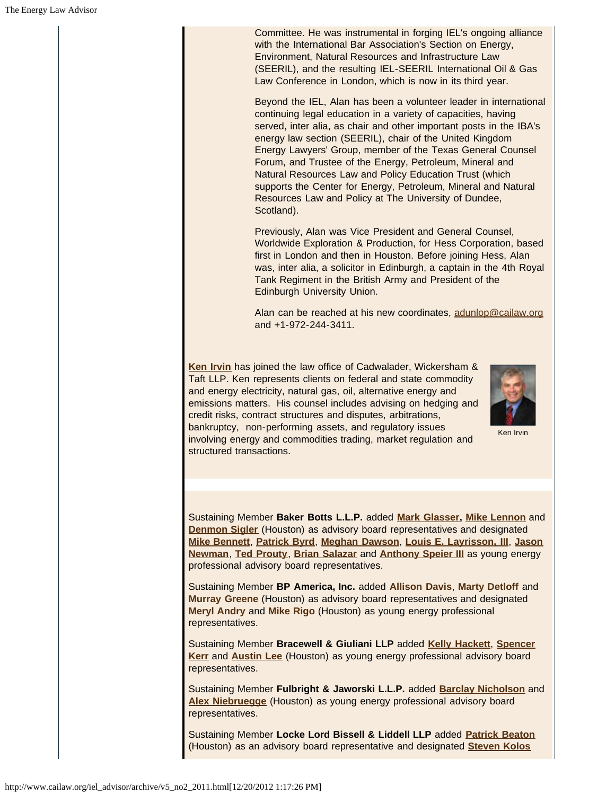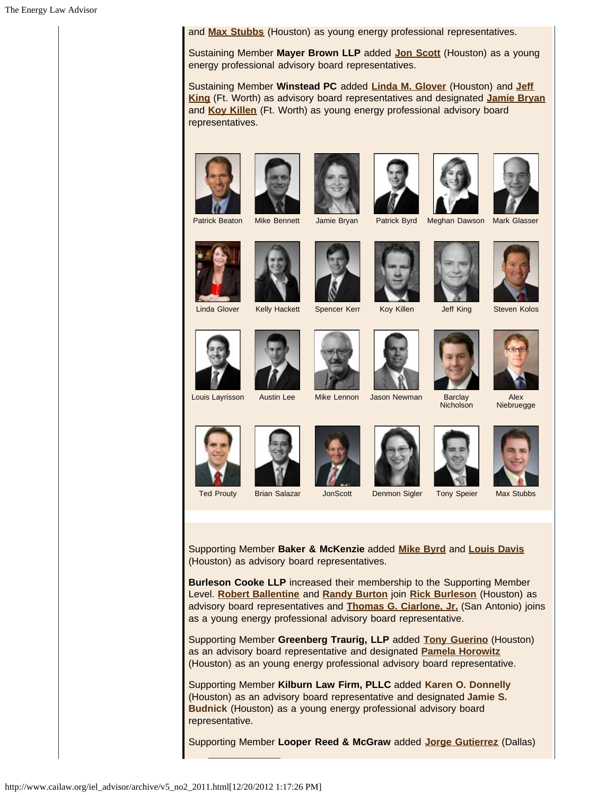and **Max Stubbs** (Houston) as young energy professional representatives.

Sustaining Member **Mayer Brown LLP** added **Jon Scott** (Houston) as a young energy professional advisory board representatives.

Sustaining Member **Winstead PC** added **Linda M. Glover** (Houston) and **Jeff King** (Ft. Worth) as advisory board representatives and designated **Jamie Bryan** and **Koy Killen** (Ft. Worth) as young energy professional advisory board representatives.













Patrick Beaton Mike Bennett Jamie Bryan Patrick Byrd Meghan Dawson Mark Glasser











Linda Glover Kelly Hackett Spencer Kerr Koy Killen Jeff King Steven Kolos











Niebruegge









**Nicholson** 





Supporting Member **Baker & McKenzie** added **Mike Byrd** and **Louis Davis** (Houston) as advisory board representatives.

**Burleson Cooke LLP** increased their membership to the Supporting Member Level. **Robert Ballentine** and **Randy Burton** join **Rick Burleson** (Houston) as advisory board representatives and **Thomas G. Ciarlone, Jr.** (San Antonio) joins as a young energy professional advisory board representative.

Supporting Member **Greenberg Traurig, LLP** added **Tony Guerino** (Houston) as an advisory board representative and designated **Pamela Horowitz** (Houston) as an young energy professional advisory board representative.

Supporting Member **Kilburn Law Firm, PLLC** added **Karen O. Donnelly** (Houston) as an advisory board representative and designated **Jamie S. Budnick** (Houston) as a young energy professional advisory board representative.

Supporting Member **Looper Reed & McGraw** added **Jorge Gutierrez** (Dallas)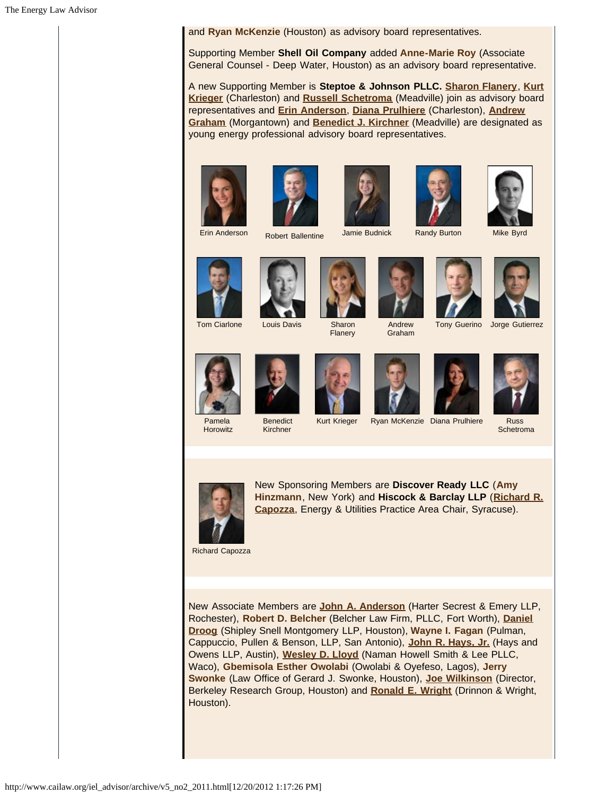and **Ryan McKenzie** (Houston) as advisory board representatives.

Supporting Member **Shell Oil Company** added **Anne-Marie Roy** (Associate General Counsel - Deep Water, Houston) as an advisory board representative.

A new Supporting Member is **Steptoe & Johnson PLLC. Sharon Flanery**, **Kurt Krieger** (Charleston) and **Russell Schetroma** (Meadville) join as advisory board representatives and **Erin Anderson**, **Diana Prulhiere** (Charleston), **Andrew Graham** (Morgantown) and **Benedict J. Kirchner** (Meadville) are designated as young energy professional advisory board representatives.











Erin Anderson Robert Ballentine Jamie Budnick Randy Burton Mike Byrd



Flanery

Andrew





Graham





Pamela Horowitz



**Benedict** Kirchner







Kurt Krieger Ryan McKenzie Diana Prulhiere Russ **Schetroma** 



New Sponsoring Members are **Discover Ready LLC** (**Amy Hinzmann**, New York) and **Hiscock & Barclay LLP** (**Richard R. Capozza**, Energy & Utilities Practice Area Chair, Syracuse).

Richard Capozza

New Associate Members are **John A. Anderson** (Harter Secrest & Emery LLP, Rochester), **Robert D. Belcher** (Belcher Law Firm, PLLC, Fort Worth), **Daniel Droog** (Shipley Snell Montgomery LLP, Houston), **Wayne I. Fagan** (Pulman, Cappuccio, Pullen & Benson, LLP, San Antonio), **John R. Hays, Jr.** (Hays and Owens LLP, Austin), **Wesley D. Lloyd** (Naman Howell Smith & Lee PLLC, Waco), **Gbemisola Esther Owolabi** (Owolabi & Oyefeso, Lagos), **Jerry Swonke** (Law Office of Gerard J. Swonke, Houston), **Joe Wilkinson** (Director, Berkeley Research Group, Houston) and **Ronald E. Wright** (Drinnon & Wright, Houston).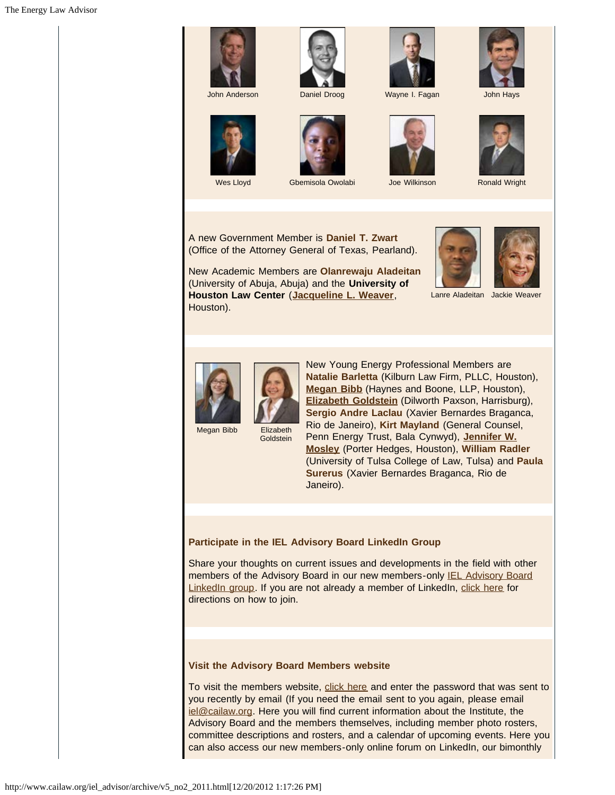







Wes Lloyd **Gbemisola Owolabi** Joe Wilkinson **Ronald Wright** 





A new Government Member is **Daniel T. Zwart** (Office of the Attorney General of Texas, Pearland).

New Academic Members are **Olanrewaju Aladeitan** (University of Abuja, Abuja) and the **University of Houston Law Center** (**Jacqueline L. Weaver**, Houston).



Lanre Aladeitan Jackie Weaver



Megan Bibb Elizabeth **Goldstein** 

New Young Energy Professional Members are **Natalie Barletta** (Kilburn Law Firm, PLLC, Houston), **Megan Bibb** (Haynes and Boone, LLP, Houston), **Elizabeth Goldstein** (Dilworth Paxson, Harrisburg), **Sergio Andre Laclau** (Xavier Bernardes Braganca, Rio de Janeiro), **Kirt Mayland** (General Counsel, Penn Energy Trust, Bala Cynwyd), **Jennifer W. Mosley** (Porter Hedges, Houston), **William Radler** (University of Tulsa College of Law, Tulsa) and **Paula Surerus** (Xavier Bernardes Braganca, Rio de Janeiro).

## **Participate in the IEL Advisory Board LinkedIn Group**

Share your thoughts on current issues and developments in the field with other members of the Advisory Board in our new members-only **IEL Advisory Board** LinkedIn group. If you are not already a member of LinkedIn, click here for directions on how to join.

## **Visit the Advisory Board Members website**

To visit the members website, click here and enter the password that was sent to you recently by email (If you need the email sent to you again, please email iel@cailaw.org. Here you will find current information about the Institute, the Advisory Board and the members themselves, including member photo rosters, committee descriptions and rosters, and a calendar of upcoming events. Here you can also access our new members-only online forum on LinkedIn, our bimonthly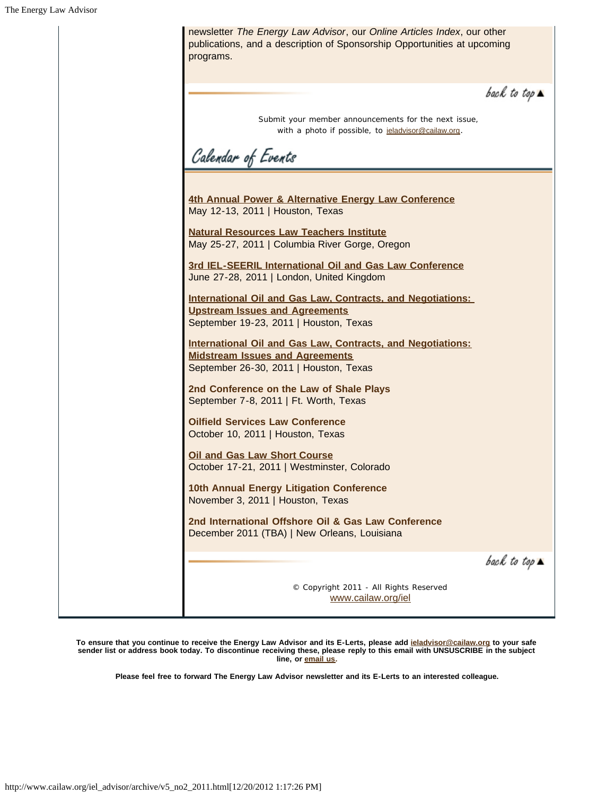

**To ensure that you continue to receive the Energy Law Advisor and its E-Lerts, please add ieladvisor@cailaw.org to your safe sender list or address book today. To discontinue receiving these, please reply to this email with UNSUSCRIBE in the subject line, or email us.**

**Please feel free to forward The Energy Law Advisor newsletter and its E-Lerts to an interested colleague.**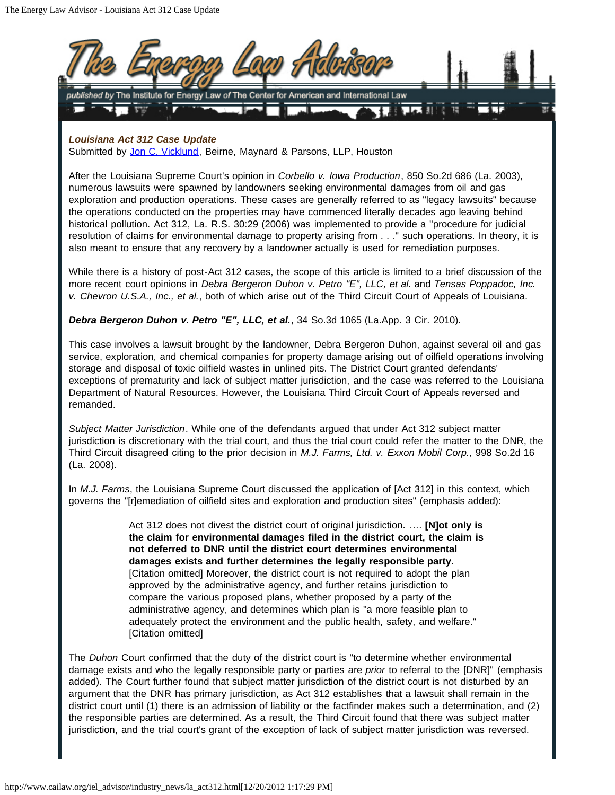

Submitted by Jon C. Vicklund, Beirne, Maynard & Parsons, LLP, Houston

After the Louisiana Supreme Court's opinion in *Corbello v. Iowa Production*, 850 So.2d 686 (La. 2003), numerous lawsuits were spawned by landowners seeking environmental damages from oil and gas exploration and production operations. These cases are generally referred to as "legacy lawsuits" because the operations conducted on the properties may have commenced literally decades ago leaving behind historical pollution. Act 312, La. R.S. 30:29 (2006) was implemented to provide a "procedure for judicial resolution of claims for environmental damage to property arising from . . ." such operations. In theory, it is also meant to ensure that any recovery by a landowner actually is used for remediation purposes.

While there is a history of post-Act 312 cases, the scope of this article is limited to a brief discussion of the more recent court opinions in *Debra Bergeron Duhon v. Petro "E", LLC, et al.* and *Tensas Poppadoc, Inc. v. Chevron U.S.A., Inc., et al.*, both of which arise out of the Third Circuit Court of Appeals of Louisiana.

*Debra Bergeron Duhon v. Petro "E", LLC, et al.*, 34 So.3d 1065 (La.App. 3 Cir. 2010).

This case involves a lawsuit brought by the landowner, Debra Bergeron Duhon, against several oil and gas service, exploration, and chemical companies for property damage arising out of oilfield operations involving storage and disposal of toxic oilfield wastes in unlined pits. The District Court granted defendants' exceptions of prematurity and lack of subject matter jurisdiction, and the case was referred to the Louisiana Department of Natural Resources. However, the Louisiana Third Circuit Court of Appeals reversed and remanded.

*Subject Matter Jurisdiction*. While one of the defendants argued that under Act 312 subject matter jurisdiction is discretionary with the trial court, and thus the trial court could refer the matter to the DNR, the Third Circuit disagreed citing to the prior decision in *M.J. Farms, Ltd. v. Exxon Mobil Corp.*, 998 So.2d 16 (La. 2008).

In *M.J. Farms*, the Louisiana Supreme Court discussed the application of [Act 312] in this context, which governs the "[r]emediation of oilfield sites and exploration and production sites" (emphasis added):

> Act 312 does not divest the district court of original jurisdiction. …. **[N]ot only is the claim for environmental damages filed in the district court, the claim is not deferred to DNR until the district court determines environmental damages exists and further determines the legally responsible party.** [Citation omitted] Moreover, the district court is not required to adopt the plan approved by the administrative agency, and further retains jurisdiction to compare the various proposed plans, whether proposed by a party of the administrative agency, and determines which plan is "a more feasible plan to adequately protect the environment and the public health, safety, and welfare." [Citation omitted]

The *Duhon* Court confirmed that the duty of the district court is "to determine whether environmental damage exists and who the legally responsible party or parties are *prior* to referral to the [DNR]" (emphasis added). The Court further found that subject matter jurisdiction of the district court is not disturbed by an argument that the DNR has primary jurisdiction, as Act 312 establishes that a lawsuit shall remain in the district court until (1) there is an admission of liability or the factfinder makes such a determination, and (2) the responsible parties are determined. As a result, the Third Circuit found that there was subject matter jurisdiction, and the trial court's grant of the exception of lack of subject matter jurisdiction was reversed.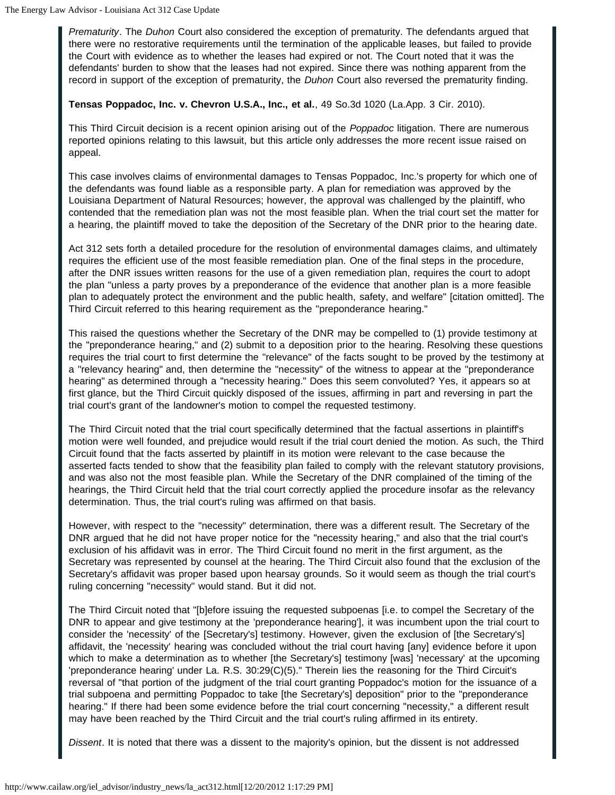*Prematurity*. The *Duhon* Court also considered the exception of prematurity. The defendants argued that there were no restorative requirements until the termination of the applicable leases, but failed to provide the Court with evidence as to whether the leases had expired or not. The Court noted that it was the defendants' burden to show that the leases had not expired. Since there was nothing apparent from the record in support of the exception of prematurity, the *Duhon* Court also reversed the prematurity finding.

**Tensas Poppadoc, Inc. v. Chevron U.S.A., Inc., et al.**, 49 So.3d 1020 (La.App. 3 Cir. 2010).

This Third Circuit decision is a recent opinion arising out of the *Poppadoc* litigation. There are numerous reported opinions relating to this lawsuit, but this article only addresses the more recent issue raised on appeal.

This case involves claims of environmental damages to Tensas Poppadoc, Inc.'s property for which one of the defendants was found liable as a responsible party. A plan for remediation was approved by the Louisiana Department of Natural Resources; however, the approval was challenged by the plaintiff, who contended that the remediation plan was not the most feasible plan. When the trial court set the matter for a hearing, the plaintiff moved to take the deposition of the Secretary of the DNR prior to the hearing date.

Act 312 sets forth a detailed procedure for the resolution of environmental damages claims, and ultimately requires the efficient use of the most feasible remediation plan. One of the final steps in the procedure, after the DNR issues written reasons for the use of a given remediation plan, requires the court to adopt the plan "unless a party proves by a preponderance of the evidence that another plan is a more feasible plan to adequately protect the environment and the public health, safety, and welfare" [citation omitted]. The Third Circuit referred to this hearing requirement as the "preponderance hearing."

This raised the questions whether the Secretary of the DNR may be compelled to (1) provide testimony at the "preponderance hearing," and (2) submit to a deposition prior to the hearing. Resolving these questions requires the trial court to first determine the "relevance" of the facts sought to be proved by the testimony at a "relevancy hearing" and, then determine the "necessity" of the witness to appear at the "preponderance hearing" as determined through a "necessity hearing." Does this seem convoluted? Yes, it appears so at first glance, but the Third Circuit quickly disposed of the issues, affirming in part and reversing in part the trial court's grant of the landowner's motion to compel the requested testimony.

The Third Circuit noted that the trial court specifically determined that the factual assertions in plaintiff's motion were well founded, and prejudice would result if the trial court denied the motion. As such, the Third Circuit found that the facts asserted by plaintiff in its motion were relevant to the case because the asserted facts tended to show that the feasibility plan failed to comply with the relevant statutory provisions, and was also not the most feasible plan. While the Secretary of the DNR complained of the timing of the hearings, the Third Circuit held that the trial court correctly applied the procedure insofar as the relevancy determination. Thus, the trial court's ruling was affirmed on that basis.

However, with respect to the "necessity" determination, there was a different result. The Secretary of the DNR argued that he did not have proper notice for the "necessity hearing," and also that the trial court's exclusion of his affidavit was in error. The Third Circuit found no merit in the first argument, as the Secretary was represented by counsel at the hearing. The Third Circuit also found that the exclusion of the Secretary's affidavit was proper based upon hearsay grounds. So it would seem as though the trial court's ruling concerning "necessity" would stand. But it did not.

The Third Circuit noted that "[b]efore issuing the requested subpoenas [i.e. to compel the Secretary of the DNR to appear and give testimony at the 'preponderance hearing'], it was incumbent upon the trial court to consider the 'necessity' of the [Secretary's] testimony. However, given the exclusion of [the Secretary's] affidavit, the 'necessity' hearing was concluded without the trial court having [any] evidence before it upon which to make a determination as to whether [the Secretary's] testimony [was] 'necessary' at the upcoming 'preponderance hearing' under La. R.S. 30:29(C)(5)." Therein lies the reasoning for the Third Circuit's reversal of "that portion of the judgment of the trial court granting Poppadoc's motion for the issuance of a trial subpoena and permitting Poppadoc to take [the Secretary's] deposition" prior to the "preponderance hearing." If there had been some evidence before the trial court concerning "necessity," a different result may have been reached by the Third Circuit and the trial court's ruling affirmed in its entirety.

*Dissent*. It is noted that there was a dissent to the majority's opinion, but the dissent is not addressed